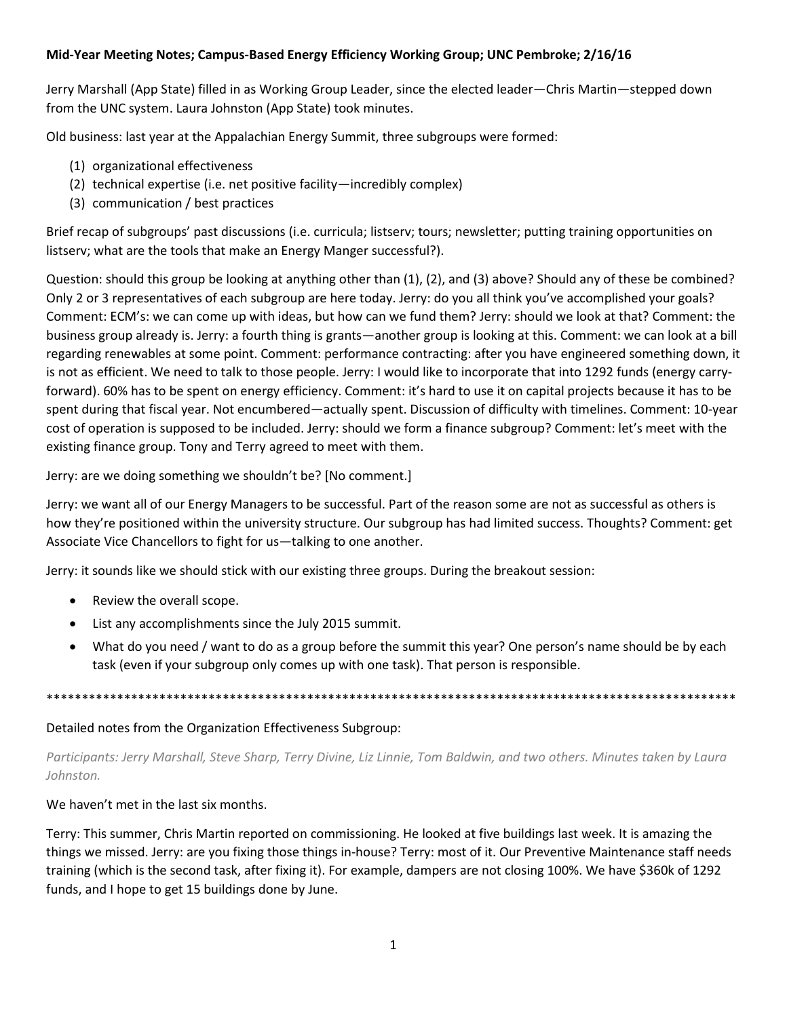## **Mid-Year Meeting Notes; Campus-Based Energy Efficiency Working Group; UNC Pembroke; 2/16/16**

Jerry Marshall (App State) filled in as Working Group Leader, since the elected leader—Chris Martin—stepped down from the UNC system. Laura Johnston (App State) took minutes.

Old business: last year at the Appalachian Energy Summit, three subgroups were formed:

- (1) organizational effectiveness
- (2) technical expertise (i.e. net positive facility—incredibly complex)
- (3) communication / best practices

Brief recap of subgroups' past discussions (i.e. curricula; listserv; tours; newsletter; putting training opportunities on listserv; what are the tools that make an Energy Manger successful?).

Question: should this group be looking at anything other than (1), (2), and (3) above? Should any of these be combined? Only 2 or 3 representatives of each subgroup are here today. Jerry: do you all think you've accomplished your goals? Comment: ECM's: we can come up with ideas, but how can we fund them? Jerry: should we look at that? Comment: the business group already is. Jerry: a fourth thing is grants—another group is looking at this. Comment: we can look at a bill regarding renewables at some point. Comment: performance contracting: after you have engineered something down, it is not as efficient. We need to talk to those people. Jerry: I would like to incorporate that into 1292 funds (energy carryforward). 60% has to be spent on energy efficiency. Comment: it's hard to use it on capital projects because it has to be spent during that fiscal year. Not encumbered—actually spent. Discussion of difficulty with timelines. Comment: 10-year cost of operation is supposed to be included. Jerry: should we form a finance subgroup? Comment: let's meet with the existing finance group. Tony and Terry agreed to meet with them.

Jerry: are we doing something we shouldn't be? [No comment.]

Jerry: we want all of our Energy Managers to be successful. Part of the reason some are not as successful as others is how they're positioned within the university structure. Our subgroup has had limited success. Thoughts? Comment: get Associate Vice Chancellors to fight for us—talking to one another.

Jerry: it sounds like we should stick with our existing three groups. During the breakout session:

- Review the overall scope.
- List any accomplishments since the July 2015 summit.
- What do you need / want to do as a group before the summit this year? One person's name should be by each task (even if your subgroup only comes up with one task). That person is responsible.

\*\*\*\*\*\*\*\*\*\*\*\*\*\*\*\*\*\*\*\*\*\*\*\*\*\*\*\*\*\*\*\*\*\*\*\*\*\*\*\*\*\*\*\*\*\*\*\*\*\*\*\*\*\*\*\*\*\*\*\*\*\*\*\*\*\*\*\*\*\*\*\*\*\*\*\*\*\*\*\*\*\*\*\*\*\*\*\*\*\*\*\*\*\*\*\*\*\*

# Detailed notes from the Organization Effectiveness Subgroup:

*Participants: Jerry Marshall, Steve Sharp, Terry Divine, Liz Linnie, Tom Baldwin, and two others. Minutes taken by Laura Johnston.*

We haven't met in the last six months.

Terry: This summer, Chris Martin reported on commissioning. He looked at five buildings last week. It is amazing the things we missed. Jerry: are you fixing those things in-house? Terry: most of it. Our Preventive Maintenance staff needs training (which is the second task, after fixing it). For example, dampers are not closing 100%. We have \$360k of 1292 funds, and I hope to get 15 buildings done by June.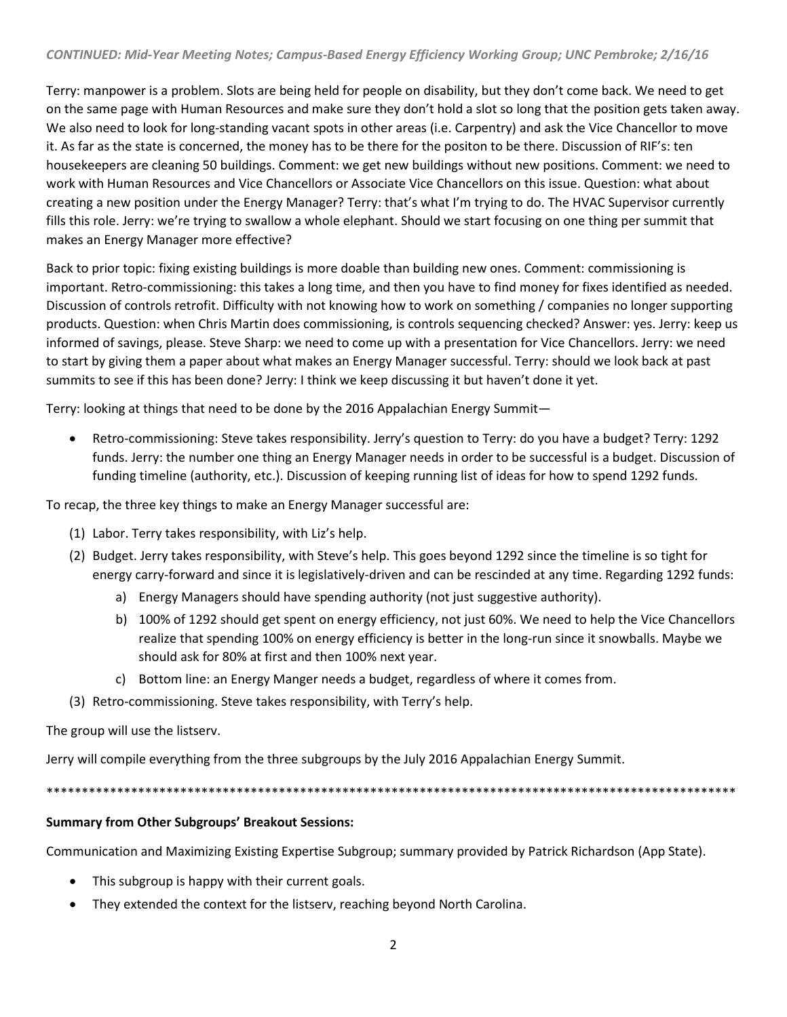# *CONTINUED: Mid-Year Meeting Notes; Campus-Based Energy Efficiency Working Group; UNC Pembroke; 2/16/16*

Terry: manpower is a problem. Slots are being held for people on disability, but they don't come back. We need to get on the same page with Human Resources and make sure they don't hold a slot so long that the position gets taken away. We also need to look for long-standing vacant spots in other areas (i.e. Carpentry) and ask the Vice Chancellor to move it. As far as the state is concerned, the money has to be there for the positon to be there. Discussion of RIF's: ten housekeepers are cleaning 50 buildings. Comment: we get new buildings without new positions. Comment: we need to work with Human Resources and Vice Chancellors or Associate Vice Chancellors on this issue. Question: what about creating a new position under the Energy Manager? Terry: that's what I'm trying to do. The HVAC Supervisor currently fills this role. Jerry: we're trying to swallow a whole elephant. Should we start focusing on one thing per summit that makes an Energy Manager more effective?

Back to prior topic: fixing existing buildings is more doable than building new ones. Comment: commissioning is important. Retro-commissioning: this takes a long time, and then you have to find money for fixes identified as needed. Discussion of controls retrofit. Difficulty with not knowing how to work on something / companies no longer supporting products. Question: when Chris Martin does commissioning, is controls sequencing checked? Answer: yes. Jerry: keep us informed of savings, please. Steve Sharp: we need to come up with a presentation for Vice Chancellors. Jerry: we need to start by giving them a paper about what makes an Energy Manager successful. Terry: should we look back at past summits to see if this has been done? Jerry: I think we keep discussing it but haven't done it yet.

Terry: looking at things that need to be done by the 2016 Appalachian Energy Summit—

• Retro-commissioning: Steve takes responsibility. Jerry's question to Terry: do you have a budget? Terry: 1292 funds. Jerry: the number one thing an Energy Manager needs in order to be successful is a budget. Discussion of funding timeline (authority, etc.). Discussion of keeping running list of ideas for how to spend 1292 funds.

To recap, the three key things to make an Energy Manager successful are:

- (1) Labor. Terry takes responsibility, with Liz's help.
- (2) Budget. Jerry takes responsibility, with Steve's help. This goes beyond 1292 since the timeline is so tight for energy carry-forward and since it is legislatively-driven and can be rescinded at any time. Regarding 1292 funds:
	- a) Energy Managers should have spending authority (not just suggestive authority).
	- b) 100% of 1292 should get spent on energy efficiency, not just 60%. We need to help the Vice Chancellors realize that spending 100% on energy efficiency is better in the long-run since it snowballs. Maybe we should ask for 80% at first and then 100% next year.
	- c) Bottom line: an Energy Manger needs a budget, regardless of where it comes from.
- (3) Retro-commissioning. Steve takes responsibility, with Terry's help.

### The group will use the listserv.

Jerry will compile everything from the three subgroups by the July 2016 Appalachian Energy Summit.

\*\*\*\*\*\*\*\*\*\*\*\*\*\*\*\*\*\*\*\*\*\*\*\*\*\*\*\*\*\*\*\*\*\*\*\*\*\*\*\*\*\*\*\*\*\*\*\*\*\*\*\*\*\*\*\*\*\*\*\*\*\*\*\*\*\*\*\*\*\*\*\*\*\*\*\*\*\*\*\*\*\*\*\*\*\*\*\*\*\*\*\*\*\*\*\*\*\*

### **Summary from Other Subgroups' Breakout Sessions:**

Communication and Maximizing Existing Expertise Subgroup; summary provided by Patrick Richardson (App State).

- This subgroup is happy with their current goals.
- They extended the context for the listserv, reaching beyond North Carolina.